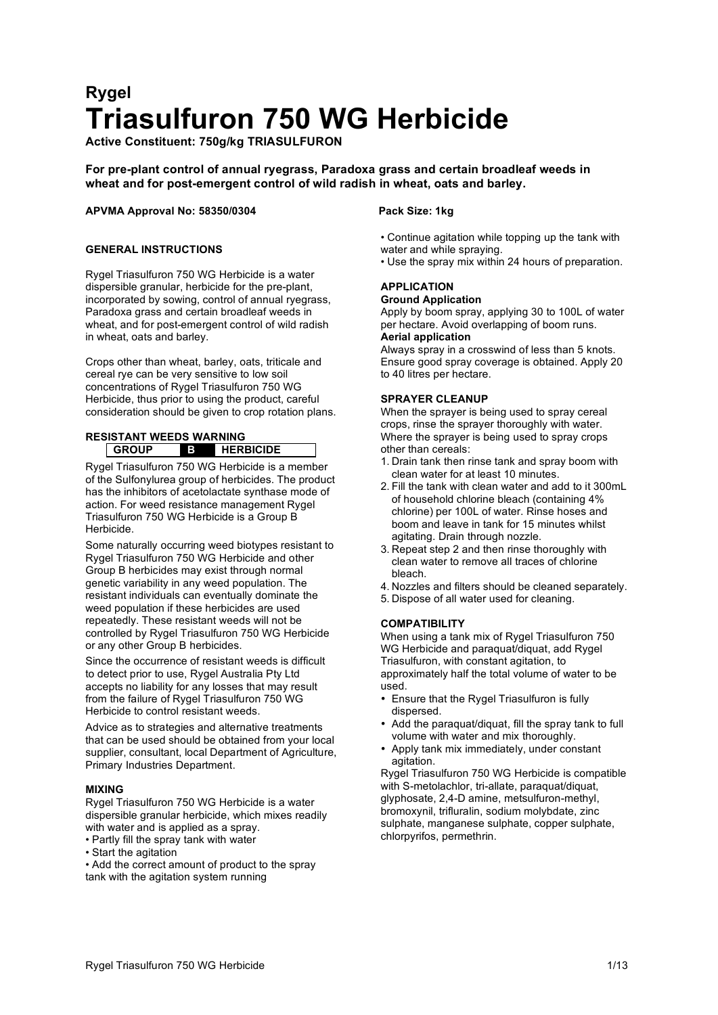# **Rygel Triasulfuron 750 WG Herbicide**

**Active Constituent: 750g/kg TRIASULFURON**

# **For pre-plant control of annual ryegrass, Paradoxa grass and certain broadleaf weeds in wheat and for post-emergent control of wild radish in wheat, oats and barley.**

# **APVMA Approval No: 58350/0304 Pack Size: 1kg**

# **GENERAL INSTRUCTIONS**

Rygel Triasulfuron 750 WG Herbicide is a water dispersible granular, herbicide for the pre-plant, incorporated by sowing, control of annual ryegrass, Paradoxa grass and certain broadleaf weeds in wheat, and for post-emergent control of wild radish in wheat, oats and barley.

Crops other than wheat, barley, oats, triticale and cereal rye can be very sensitive to low soil concentrations of Rygel Triasulfuron 750 WG Herbicide, thus prior to using the product, careful consideration should be given to crop rotation plans.

## **RESISTANT WEEDS WARNING GROUP B HERBICIDE**

Rygel Triasulfuron 750 WG Herbicide is a member of the Sulfonylurea group of herbicides. The product has the inhibitors of acetolactate synthase mode of action. For weed resistance management Rygel Triasulfuron 750 WG Herbicide is a Group B Herbicide.

Some naturally occurring weed biotypes resistant to Rygel Triasulfuron 750 WG Herbicide and other Group B herbicides may exist through normal genetic variability in any weed population. The resistant individuals can eventually dominate the weed population if these herbicides are used repeatedly. These resistant weeds will not be controlled by Rygel Triasulfuron 750 WG Herbicide or any other Group B herbicides.

Since the occurrence of resistant weeds is difficult to detect prior to use, Rygel Australia Pty Ltd accepts no liability for any losses that may result from the failure of Rygel Triasulfuron 750 WG Herbicide to control resistant weeds.

Advice as to strategies and alternative treatments that can be used should be obtained from your local supplier, consultant, local Department of Agriculture, Primary Industries Department.

# **MIXING**

Rygel Triasulfuron 750 WG Herbicide is a water dispersible granular herbicide, which mixes readily with water and is applied as a spray.

- Partly fill the spray tank with water
- Start the agitation
- Add the correct amount of product to the spray tank with the agitation system running

- Continue agitation while topping up the tank with water and while spraying.
- Use the spray mix within 24 hours of preparation.

# **APPLICATION Ground Application**

Apply by boom spray, applying 30 to 100L of water per hectare. Avoid overlapping of boom runs. **Aerial application**

Always spray in a crosswind of less than 5 knots. Ensure good spray coverage is obtained. Apply 20 to 40 litres per hectare.

# **SPRAYER CLEANUP**

When the sprayer is being used to spray cereal crops, rinse the sprayer thoroughly with water. Where the sprayer is being used to spray crops other than cereals:

- 1. Drain tank then rinse tank and spray boom with clean water for at least 10 minutes.
- 2. Fill the tank with clean water and add to it 300mL of household chlorine bleach (containing 4% chlorine) per 100L of water. Rinse hoses and boom and leave in tank for 15 minutes whilst agitating. Drain through nozzle.
- 3. Repeat step 2 and then rinse thoroughly with clean water to remove all traces of chlorine bleach.
- 4. Nozzles and filters should be cleaned separately.
- 5. Dispose of all water used for cleaning.

# **COMPATIBILITY**

When using a tank mix of Rygel Triasulfuron 750 WG Herbicide and paraquat/diquat, add Rygel Triasulfuron, with constant agitation, to approximately half the total volume of water to be used.

- Ensure that the Rygel Triasulfuron is fully dispersed.
- Add the paraquat/diquat, fill the spray tank to full volume with water and mix thoroughly.
- Apply tank mix immediately, under constant agitation.

Rygel Triasulfuron 750 WG Herbicide is compatible with S-metolachlor, tri-allate, paraquat/diquat, glyphosate, 2,4-D amine, metsulfuron-methyl, bromoxynil, trifluralin, sodium molybdate, zinc sulphate, manganese sulphate, copper sulphate, chlorpyrifos, permethrin.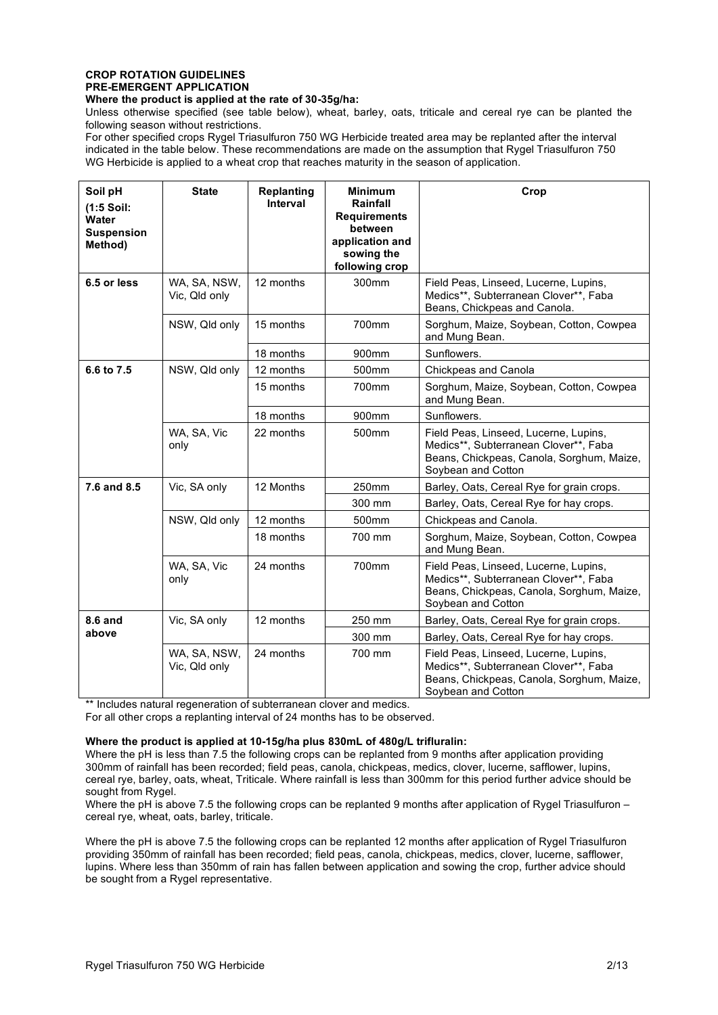# **CROP ROTATION GUIDELINES PRE-EMERGENT APPLICATION**

# **Where the product is applied at the rate of 30-35g/ha:**

Unless otherwise specified (see table below), wheat, barley, oats, triticale and cereal rye can be planted the following season without restrictions.

For other specified crops Rygel Triasulfuron 750 WG Herbicide treated area may be replanted after the interval indicated in the table below. These recommendations are made on the assumption that Rygel Triasulfuron 750 WG Herbicide is applied to a wheat crop that reaches maturity in the season of application.

| Soil pH<br>$(1:5$ Soil:<br><b>Water</b><br><b>Suspension</b><br>Method) | <b>State</b>                  | <b>Replanting</b><br>Interval | <b>Minimum</b><br>Rainfall<br><b>Requirements</b><br>between<br>application and<br>sowing the<br>following crop | Crop                                                                                                                                              |
|-------------------------------------------------------------------------|-------------------------------|-------------------------------|-----------------------------------------------------------------------------------------------------------------|---------------------------------------------------------------------------------------------------------------------------------------------------|
| 6.5 or less                                                             | WA, SA, NSW,<br>Vic, Qld only | 12 months                     | 300mm                                                                                                           | Field Peas, Linseed, Lucerne, Lupins,<br>Medics**, Subterranean Clover**, Faba<br>Beans, Chickpeas and Canola.                                    |
|                                                                         | NSW, Qld only                 | 15 months                     | 700mm                                                                                                           | Sorghum, Maize, Soybean, Cotton, Cowpea<br>and Mung Bean.                                                                                         |
|                                                                         |                               | 18 months                     | 900 <sub>mm</sub>                                                                                               | Sunflowers.                                                                                                                                       |
| 6.6 to 7.5                                                              | NSW, Qld only                 | 12 months                     | 500 <sub>mm</sub>                                                                                               | Chickpeas and Canola                                                                                                                              |
|                                                                         |                               | 15 months                     | 700mm                                                                                                           | Sorghum, Maize, Soybean, Cotton, Cowpea<br>and Mung Bean.                                                                                         |
|                                                                         |                               | 18 months                     | 900mm                                                                                                           | Sunflowers.                                                                                                                                       |
|                                                                         | WA, SA, Vic<br>only           | 22 months                     | 500 <sub>mm</sub>                                                                                               | Field Peas, Linseed, Lucerne, Lupins,<br>Medics**, Subterranean Clover**, Faba<br>Beans, Chickpeas, Canola, Sorghum, Maize,<br>Soybean and Cotton |
| 7.6 and 8.5                                                             | Vic, SA only                  | 12 Months                     | 250mm                                                                                                           | Barley, Oats, Cereal Rye for grain crops.                                                                                                         |
|                                                                         |                               |                               | 300 mm                                                                                                          | Barley, Oats, Cereal Rye for hay crops.                                                                                                           |
|                                                                         | NSW, Qld only                 | 12 months                     | 500 <sub>mm</sub>                                                                                               | Chickpeas and Canola.                                                                                                                             |
|                                                                         |                               | 18 months                     | 700 mm                                                                                                          | Sorghum, Maize, Soybean, Cotton, Cowpea<br>and Mung Bean.                                                                                         |
|                                                                         | WA, SA, Vic<br>only           | 24 months                     | 700mm                                                                                                           | Field Peas, Linseed, Lucerne, Lupins,<br>Medics**, Subterranean Clover**, Faba<br>Beans, Chickpeas, Canola, Sorghum, Maize,<br>Soybean and Cotton |
| <b>8.6 and</b>                                                          | Vic, SA only                  | 12 months                     | 250 mm                                                                                                          | Barley, Oats, Cereal Rye for grain crops.                                                                                                         |
| above                                                                   |                               |                               | 300 mm                                                                                                          | Barley, Oats, Cereal Rye for hay crops.                                                                                                           |
|                                                                         | WA, SA, NSW,<br>Vic. Qld only | 24 months                     | 700 mm                                                                                                          | Field Peas, Linseed, Lucerne, Lupins,<br>Medics**, Subterranean Clover**, Faba<br>Beans, Chickpeas, Canola, Sorghum, Maize,<br>Soybean and Cotton |

\*\* Includes natural regeneration of subterranean clover and medics.

For all other crops a replanting interval of 24 months has to be observed.

#### **Where the product is applied at 10-15g/ha plus 830mL of 480g/L trifluralin:**

Where the pH is less than 7.5 the following crops can be replanted from 9 months after application providing 300mm of rainfall has been recorded; field peas, canola, chickpeas, medics, clover, lucerne, safflower, lupins, cereal rye, barley, oats, wheat, Triticale. Where rainfall is less than 300mm for this period further advice should be sought from Rygel.

Where the pH is above 7.5 the following crops can be replanted 9 months after application of Rygel Triasulfuron – cereal rye, wheat, oats, barley, triticale.

Where the pH is above 7.5 the following crops can be replanted 12 months after application of Rygel Triasulfuron providing 350mm of rainfall has been recorded; field peas, canola, chickpeas, medics, clover, lucerne, safflower, lupins. Where less than 350mm of rain has fallen between application and sowing the crop, further advice should be sought from a Rygel representative.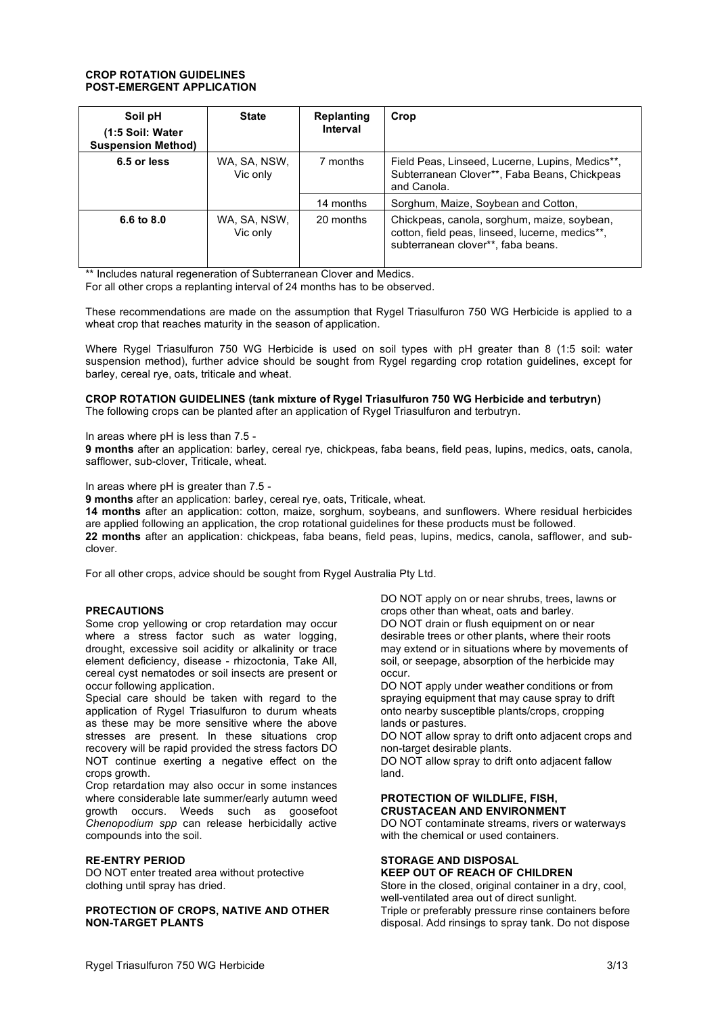## **CROP ROTATION GUIDELINES POST-EMERGENT APPLICATION**

| Soil pH<br>(1:5 Soil: Water<br><b>Suspension Method)</b> | <b>State</b>             | <b>Replanting</b><br>Interval | Crop                                                                                                                                 |
|----------------------------------------------------------|--------------------------|-------------------------------|--------------------------------------------------------------------------------------------------------------------------------------|
| 6.5 or less                                              | WA, SA, NSW,<br>Vic only | 7 months                      | Field Peas, Linseed, Lucerne, Lupins, Medics**,<br>Subterranean Clover**, Faba Beans, Chickpeas<br>and Canola.                       |
|                                                          |                          | 14 months                     | Sorghum, Maize, Soybean and Cotton,                                                                                                  |
| 6.6 to 8.0                                               | WA, SA, NSW,<br>Vic only | 20 months                     | Chickpeas, canola, sorghum, maize, soybean,<br>cotton, field peas, linseed, lucerne, medics**,<br>subterranean clover**, faba beans. |

\*\* Includes natural regeneration of Subterranean Clover and Medics.

For all other crops a replanting interval of 24 months has to be observed.

These recommendations are made on the assumption that Rygel Triasulfuron 750 WG Herbicide is applied to a wheat crop that reaches maturity in the season of application.

Where Rygel Triasulfuron 750 WG Herbicide is used on soil types with pH greater than 8 (1:5 soil: water suspension method), further advice should be sought from Rygel regarding crop rotation guidelines, except for barley, cereal rye, oats, triticale and wheat.

#### **CROP ROTATION GUIDELINES (tank mixture of Rygel Triasulfuron 750 WG Herbicide and terbutryn)** The following crops can be planted after an application of Rygel Triasulfuron and terbutryn.

In areas where pH is less than 7.5 -

**9 months** after an application: barley, cereal rye, chickpeas, faba beans, field peas, lupins, medics, oats, canola, safflower, sub-clover, Triticale, wheat.

In areas where pH is greater than 7.5 -

**9 months** after an application: barley, cereal rye, oats, Triticale, wheat.

**14 months** after an application: cotton, maize, sorghum, soybeans, and sunflowers. Where residual herbicides are applied following an application, the crop rotational guidelines for these products must be followed. **22 months** after an application: chickpeas, faba beans, field peas, lupins, medics, canola, safflower, and subclover.

For all other crops, advice should be sought from Rygel Australia Pty Ltd.

# **PRECAUTIONS**

Some crop yellowing or crop retardation may occur where a stress factor such as water logging, drought, excessive soil acidity or alkalinity or trace element deficiency, disease - rhizoctonia, Take All, cereal cyst nematodes or soil insects are present or occur following application.

Special care should be taken with regard to the application of Rygel Triasulfuron to durum wheats as these may be more sensitive where the above stresses are present. In these situations crop recovery will be rapid provided the stress factors DO NOT continue exerting a negative effect on the crops growth.

Crop retardation may also occur in some instances where considerable late summer/early autumn weed growth occurs. Weeds such as goosefoot *Chenopodium spp* can release herbicidally active compounds into the soil.

#### **RE-ENTRY PERIOD**

DO NOT enter treated area without protective clothing until spray has dried.

**PROTECTION OF CROPS, NATIVE AND OTHER NON-TARGET PLANTS**

DO NOT apply on or near shrubs, trees, lawns or crops other than wheat, oats and barley. DO NOT drain or flush equipment on or near desirable trees or other plants, where their roots may extend or in situations where by movements of soil, or seepage, absorption of the herbicide may occur.

DO NOT apply under weather conditions or from spraying equipment that may cause spray to drift onto nearby susceptible plants/crops, cropping lands or pastures.

DO NOT allow spray to drift onto adjacent crops and non-target desirable plants.

DO NOT allow spray to drift onto adjacent fallow land.

#### **PROTECTION OF WILDLIFE, FISH, CRUSTACEAN AND ENVIRONMENT**

DO NOT contaminate streams, rivers or waterways with the chemical or used containers.

#### **STORAGE AND DISPOSAL KEEP OUT OF REACH OF CHILDREN**

Store in the closed, original container in a dry, cool, well-ventilated area out of direct sunlight. Triple or preferably pressure rinse containers before disposal. Add rinsings to spray tank. Do not dispose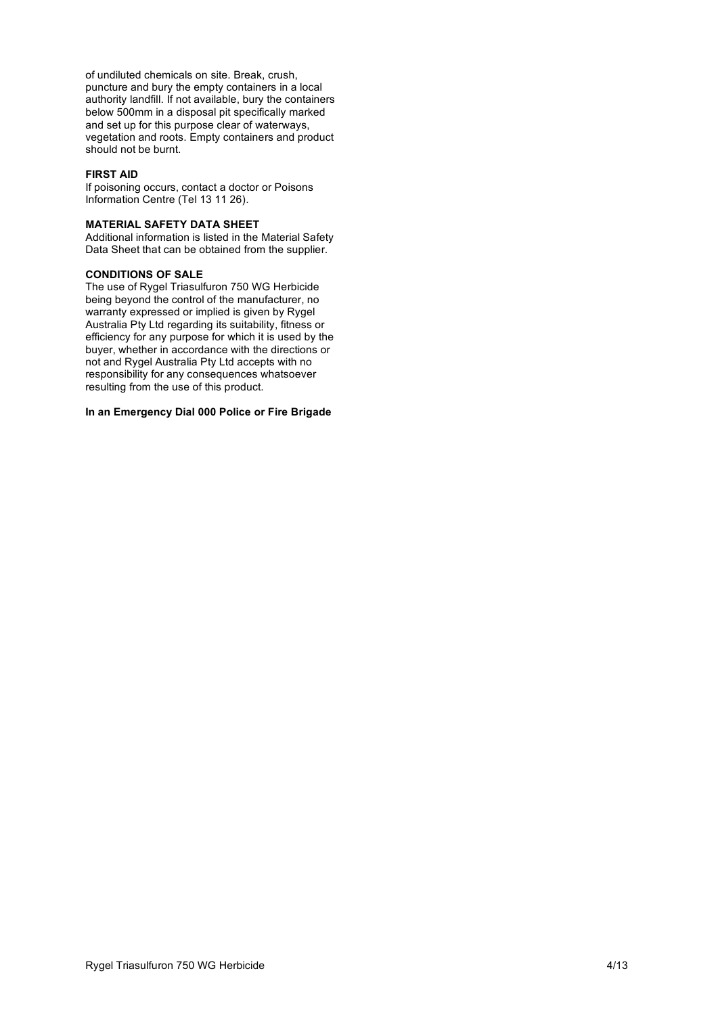of undiluted chemicals on site. Break, crush, puncture and bury the empty containers in a local authority landfill. If not available, bury the containers below 500mm in a disposal pit specifically marked and set up for this purpose clear of waterways, vegetation and roots. Empty containers and product should not be burnt.

## **FIRST AID**

If poisoning occurs, contact a doctor or Poisons Information Centre (Tel 13 11 26).

#### **MATERIAL SAFETY DATA SHEET**

Additional information is listed in the Material Safety Data Sheet that can be obtained from the supplier.

#### **CONDITIONS OF SALE**

The use of Rygel Triasulfuron 750 WG Herbicide being beyond the control of the manufacturer, no warranty expressed or implied is given by Rygel Australia Pty Ltd regarding its suitability, fitness or efficiency for any purpose for which it is used by the buyer, whether in accordance with the directions or not and Rygel Australia Pty Ltd accepts with no responsibility for any consequences whatsoever resulting from the use of this product.

# **In an Emergency Dial 000 Police or Fire Brigade**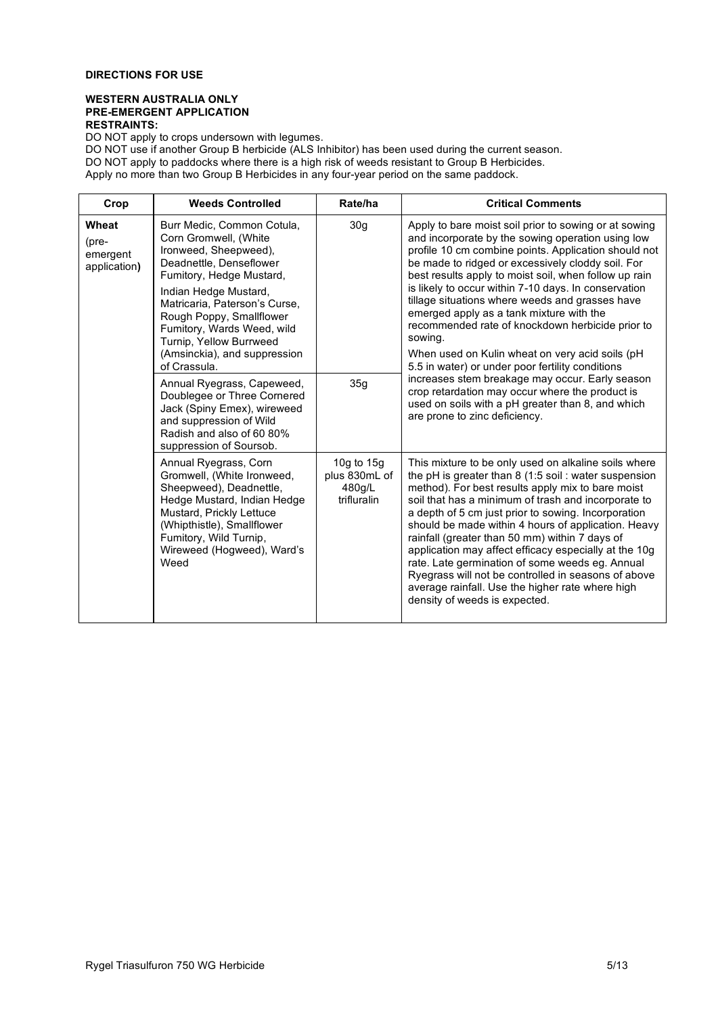#### **WESTERN AUSTRALIA ONLY PRE-EMERGENT APPLICATION RESTRAINTS:**

DO NOT apply to crops undersown with legumes.

| Crop                                               | <b>Weeds Controlled</b>                                                                                                                                                                                                                                                                                                            | Rate/ha                                                | <b>Critical Comments</b>                                                                                                                                                                                                                                                                                                                                                                                                                                                                                                                                                                                                                                           |
|----------------------------------------------------|------------------------------------------------------------------------------------------------------------------------------------------------------------------------------------------------------------------------------------------------------------------------------------------------------------------------------------|--------------------------------------------------------|--------------------------------------------------------------------------------------------------------------------------------------------------------------------------------------------------------------------------------------------------------------------------------------------------------------------------------------------------------------------------------------------------------------------------------------------------------------------------------------------------------------------------------------------------------------------------------------------------------------------------------------------------------------------|
| Wheat<br>$(\text{pre}$<br>emergent<br>application) | Burr Medic, Common Cotula,<br>Corn Gromwell, (White<br>Ironweed, Sheepweed),<br>Deadnettle, Denseflower<br>Fumitory, Hedge Mustard,<br>Indian Hedge Mustard,<br>Matricaria, Paterson's Curse,<br>Rough Poppy, Smallflower<br>Fumitory, Wards Weed, wild<br>Turnip, Yellow Burrweed<br>(Amsinckia), and suppression<br>of Crassula. | 30 <sub>g</sub>                                        | Apply to bare moist soil prior to sowing or at sowing<br>and incorporate by the sowing operation using low<br>profile 10 cm combine points. Application should not<br>be made to ridged or excessively cloddy soil. For<br>best results apply to moist soil, when follow up rain<br>is likely to occur within 7-10 days. In conservation<br>tillage situations where weeds and grasses have<br>emerged apply as a tank mixture with the<br>recommended rate of knockdown herbicide prior to<br>sowing.<br>When used on Kulin wheat on very acid soils (pH<br>5.5 in water) or under poor fertility conditions                                                      |
|                                                    | Annual Ryegrass, Capeweed,<br>Doublegee or Three Cornered<br>Jack (Spiny Emex), wireweed<br>and suppression of Wild<br>Radish and also of 60 80%<br>suppression of Soursob.                                                                                                                                                        | 35g                                                    | increases stem breakage may occur. Early season<br>crop retardation may occur where the product is<br>used on soils with a pH greater than 8, and which<br>are prone to zinc deficiency.                                                                                                                                                                                                                                                                                                                                                                                                                                                                           |
|                                                    | Annual Ryegrass, Corn<br>Gromwell, (White Ironweed,<br>Sheepweed), Deadnettle,<br>Hedge Mustard, Indian Hedge<br>Mustard, Prickly Lettuce<br>(Whipthistle), Smallflower<br>Fumitory, Wild Turnip,<br>Wireweed (Hogweed), Ward's<br>Weed                                                                                            | 10g to $15g$<br>plus 830mL of<br>480g/L<br>trifluralin | This mixture to be only used on alkaline soils where<br>the pH is greater than $8(1.5 \text{ soil} : \text{water suspension})$<br>method). For best results apply mix to bare moist<br>soil that has a minimum of trash and incorporate to<br>a depth of 5 cm just prior to sowing. Incorporation<br>should be made within 4 hours of application. Heavy<br>rainfall (greater than 50 mm) within 7 days of<br>application may affect efficacy especially at the 10g<br>rate. Late germination of some weeds eg. Annual<br>Ryegrass will not be controlled in seasons of above<br>average rainfall. Use the higher rate where high<br>density of weeds is expected. |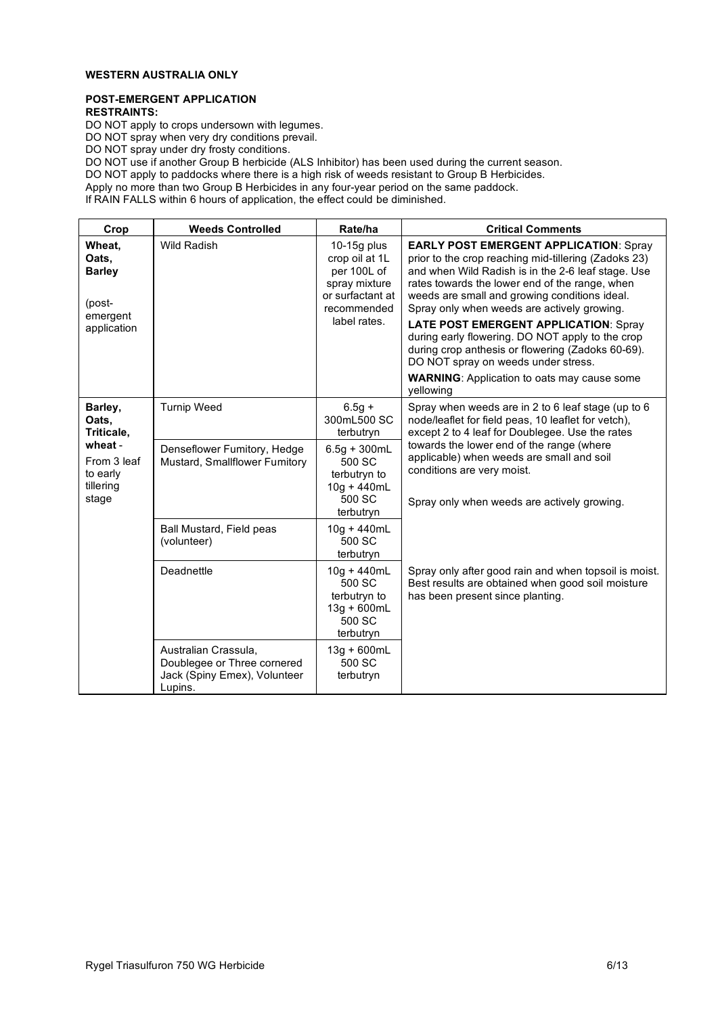# **WESTERN AUSTRALIA ONLY**

#### **POST-EMERGENT APPLICATION RESTRAINTS:**

DO NOT apply to crops undersown with legumes.

DO NOT spray when very dry conditions prevail.

DO NOT spray under dry frosty conditions.

DO NOT use if another Group B herbicide (ALS Inhibitor) has been used during the current season.

DO NOT apply to paddocks where there is a high risk of weeds resistant to Group B Herbicides.

Apply no more than two Group B Herbicides in any four-year period on the same paddock.

If RAIN FALLS within 6 hours of application, the effect could be diminished.

| Crop                                                                                       | <b>Weeds Controlled</b>                                                            | Rate/ha                                                                                                                            | <b>Critical Comments</b>                                                                                                                                                                                                                                                                                                                                                                                                                                                                                                                                                         |
|--------------------------------------------------------------------------------------------|------------------------------------------------------------------------------------|------------------------------------------------------------------------------------------------------------------------------------|----------------------------------------------------------------------------------------------------------------------------------------------------------------------------------------------------------------------------------------------------------------------------------------------------------------------------------------------------------------------------------------------------------------------------------------------------------------------------------------------------------------------------------------------------------------------------------|
| Wheat.<br>Oats.<br><b>Barley</b><br>(post-<br>emergent<br>application                      | <b>Wild Radish</b>                                                                 | 10-15g plus<br>crop oil at 1L<br>per 100L of<br>spray mixture<br>or surfactant at<br>recommended<br>label rates.                   | <b>EARLY POST EMERGENT APPLICATION: Spray</b><br>prior to the crop reaching mid-tillering (Zadoks 23)<br>and when Wild Radish is in the 2-6 leaf stage. Use<br>rates towards the lower end of the range, when<br>weeds are small and growing conditions ideal.<br>Spray only when weeds are actively growing.<br><b>LATE POST EMERGENT APPLICATION: Spray</b><br>during early flowering. DO NOT apply to the crop<br>during crop anthesis or flowering (Zadoks 60-69).<br>DO NOT spray on weeds under stress.<br><b>WARNING:</b> Application to oats may cause some<br>yellowing |
| Barley,<br>Oats.<br>Triticale,<br>wheat -<br>From 3 leaf<br>to early<br>tillering<br>stage | <b>Turnip Weed</b><br>Denseflower Fumitory, Hedge<br>Mustard, Smallflower Fumitory | $6.5g +$<br>300mL500 SC<br>terbutryn<br>$6.5g + 300mL$<br>500 SC<br>terbutryn to<br>$10g + 440mL$<br>500 SC<br>terbutryn           | Spray when weeds are in 2 to 6 leaf stage (up to 6<br>node/leaflet for field peas, 10 leaflet for vetch),<br>except 2 to 4 leaf for Doublegee. Use the rates<br>towards the lower end of the range (where<br>applicable) when weeds are small and soil<br>conditions are very moist.<br>Spray only when weeds are actively growing.                                                                                                                                                                                                                                              |
|                                                                                            | Ball Mustard, Field peas<br>(volunteer)<br>Deadnettle<br>Australian Crassula.      | 10g + 440mL<br>500 SC<br>terbutryn<br>$10g + 440mL$<br>500 SC<br>terbutryn to<br>13g + 600mL<br>500 SC<br>terbutryn<br>13g + 600mL | Spray only after good rain and when topsoil is moist.<br>Best results are obtained when good soil moisture<br>has been present since planting.                                                                                                                                                                                                                                                                                                                                                                                                                                   |
|                                                                                            | Doublegee or Three cornered<br>Jack (Spiny Emex), Volunteer<br>Lupins.             | 500 SC<br>terbutryn                                                                                                                |                                                                                                                                                                                                                                                                                                                                                                                                                                                                                                                                                                                  |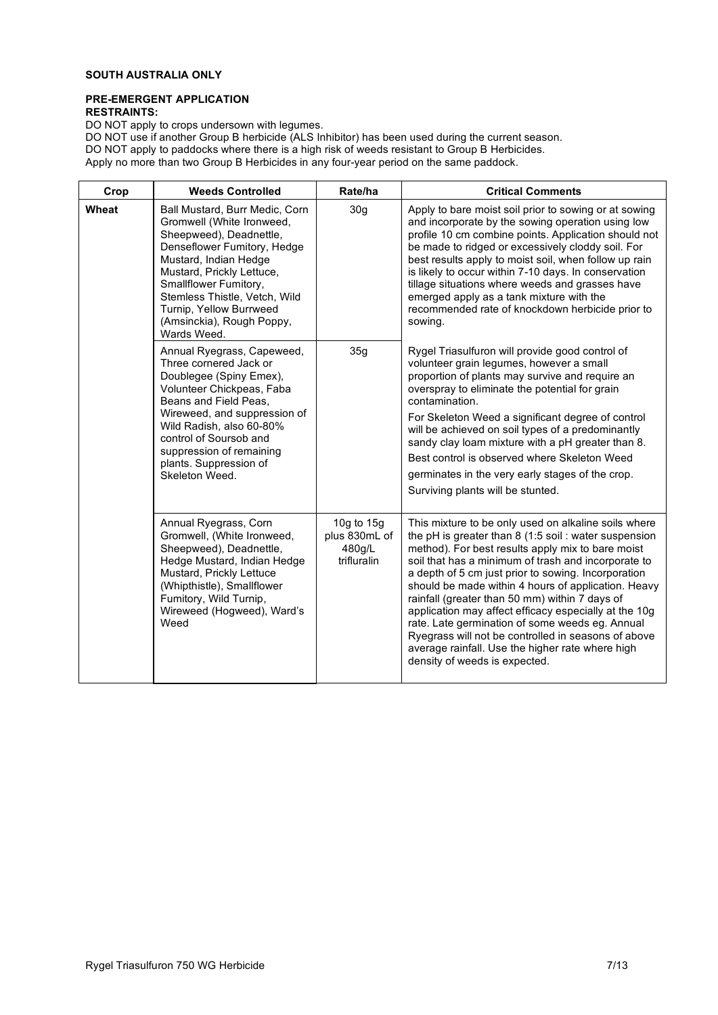# **SOUTH AUSTRALIA ONLY**

# **PRE-EMERGENT APPLICATION RESTRAINTS:**

DO NOT apply to crops undersown with legumes.

| Crop  | <b>Weeds Controlled</b>                                                                                                                                                                                                                                                                                                         | Rate/ha                                                                                                                                                                                                                                                                                                                                                                                                                                                                                                | <b>Critical Comments</b>                                                                                                                                                                                                                                                                                                                                                                                                                                                                                                                                                                                                                            |
|-------|---------------------------------------------------------------------------------------------------------------------------------------------------------------------------------------------------------------------------------------------------------------------------------------------------------------------------------|--------------------------------------------------------------------------------------------------------------------------------------------------------------------------------------------------------------------------------------------------------------------------------------------------------------------------------------------------------------------------------------------------------------------------------------------------------------------------------------------------------|-----------------------------------------------------------------------------------------------------------------------------------------------------------------------------------------------------------------------------------------------------------------------------------------------------------------------------------------------------------------------------------------------------------------------------------------------------------------------------------------------------------------------------------------------------------------------------------------------------------------------------------------------------|
| Wheat | 30 <sub>g</sub><br>Ball Mustard, Burr Medic, Corn<br>Gromwell (White Ironweed,<br>Sheepweed), Deadnettle,<br>Denseflower Fumitory, Hedge<br>Mustard, Indian Hedge<br>Mustard, Prickly Lettuce,<br>Smallflower Fumitory,<br>Stemless Thistle, Vetch, Wild<br>Turnip, Yellow Burrweed<br>(Amsinckia), Rough Poppy,<br>Wards Weed. | Apply to bare moist soil prior to sowing or at sowing<br>and incorporate by the sowing operation using low<br>profile 10 cm combine points. Application should not<br>be made to ridged or excessively cloddy soil. For<br>best results apply to moist soil, when follow up rain<br>is likely to occur within 7-10 days. In conservation<br>tillage situations where weeds and grasses have<br>emerged apply as a tank mixture with the<br>recommended rate of knockdown herbicide prior to<br>sowing. |                                                                                                                                                                                                                                                                                                                                                                                                                                                                                                                                                                                                                                                     |
|       | Annual Ryegrass, Capeweed,<br>Three cornered Jack or<br>Doublegee (Spiny Emex),<br>Volunteer Chickpeas, Faba<br>Beans and Field Peas,<br>Wireweed, and suppression of<br>Wild Radish, also 60-80%<br>control of Soursob and<br>suppression of remaining<br>plants. Suppression of<br>Skeleton Weed.                             | 35g                                                                                                                                                                                                                                                                                                                                                                                                                                                                                                    | Rygel Triasulfuron will provide good control of<br>volunteer grain legumes, however a small<br>proportion of plants may survive and require an<br>overspray to eliminate the potential for grain<br>contamination.<br>For Skeleton Weed a significant degree of control<br>will be achieved on soil types of a predominantly<br>sandy clay loam mixture with a pH greater than 8.<br>Best control is observed where Skeleton Weed<br>germinates in the very early stages of the crop.<br>Surviving plants will be stunted.                                                                                                                          |
|       | Annual Ryegrass, Corn<br>Gromwell, (White Ironweed,<br>Sheepweed), Deadnettle,<br>Hedge Mustard, Indian Hedge<br>Mustard, Prickly Lettuce<br>(Whipthistle), Smallflower<br>Fumitory, Wild Turnip,<br>Wireweed (Hogweed), Ward's<br>Weed                                                                                         | 10g to 15g<br>plus 830mL of<br>480g/L<br>trifluralin                                                                                                                                                                                                                                                                                                                                                                                                                                                   | This mixture to be only used on alkaline soils where<br>the pH is greater than $8$ (1:5 soil : water suspension<br>method). For best results apply mix to bare moist<br>soil that has a minimum of trash and incorporate to<br>a depth of 5 cm just prior to sowing. Incorporation<br>should be made within 4 hours of application. Heavy<br>rainfall (greater than 50 mm) within 7 days of<br>application may affect efficacy especially at the 10g<br>rate. Late germination of some weeds eg. Annual<br>Ryegrass will not be controlled in seasons of above<br>average rainfall. Use the higher rate where high<br>density of weeds is expected. |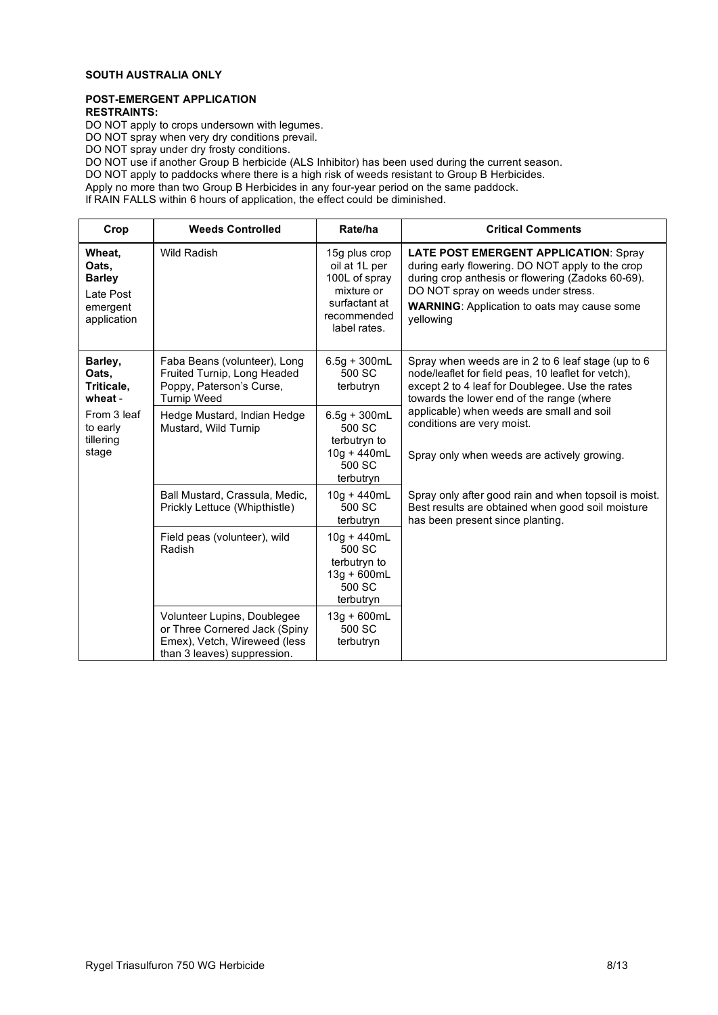# **SOUTH AUSTRALIA ONLY**

#### **POST-EMERGENT APPLICATION RESTRAINTS:**

DO NOT apply to crops undersown with legumes.

DO NOT spray when very dry conditions prevail.

DO NOT spray under dry frosty conditions.

DO NOT use if another Group B herbicide (ALS Inhibitor) has been used during the current season.

DO NOT apply to paddocks where there is a high risk of weeds resistant to Group B Herbicides.

Apply no more than two Group B Herbicides in any four-year period on the same paddock.

If RAIN FALLS within 6 hours of application, the effect could be diminished.

| Crop                                                                     | <b>Weeds Controlled</b>                                                                                                     | Rate/ha                                                                                                       | <b>Critical Comments</b>                                                                                                                                                                                                                                        |
|--------------------------------------------------------------------------|-----------------------------------------------------------------------------------------------------------------------------|---------------------------------------------------------------------------------------------------------------|-----------------------------------------------------------------------------------------------------------------------------------------------------------------------------------------------------------------------------------------------------------------|
| Wheat,<br>Oats,<br><b>Barley</b><br>Late Post<br>emergent<br>application | <b>Wild Radish</b>                                                                                                          | 15g plus crop<br>oil at 1L per<br>100L of spray<br>mixture or<br>surfactant at<br>recommended<br>label rates. | <b>LATE POST EMERGENT APPLICATION: Spray</b><br>during early flowering. DO NOT apply to the crop<br>during crop anthesis or flowering (Zadoks 60-69).<br>DO NOT spray on weeds under stress.<br><b>WARNING:</b> Application to oats may cause some<br>yellowing |
| Barley,<br>Oats.<br>Triticale,<br>wheat -                                | Faba Beans (volunteer), Long<br>Fruited Turnip, Long Headed<br>Poppy, Paterson's Curse,<br><b>Turnip Weed</b>               | $6.5q + 300mL$<br>500 SC<br>terbutryn                                                                         | Spray when weeds are in 2 to 6 leaf stage (up to 6<br>node/leaflet for field peas, 10 leaflet for vetch),<br>except 2 to 4 leaf for Doublegee. Use the rates<br>towards the lower end of the range (where                                                       |
| From 3 leaf<br>to early<br>tillering<br>stage                            | Hedge Mustard, Indian Hedge<br>Mustard, Wild Turnip                                                                         | $6.5g + 300mL$<br>500 SC<br>terbutryn to<br>$10g + 440mL$<br>500 SC<br>terbutryn                              | applicable) when weeds are small and soil<br>conditions are very moist.<br>Spray only when weeds are actively growing.                                                                                                                                          |
|                                                                          | Ball Mustard, Crassula, Medic,<br>Prickly Lettuce (Whipthistle)                                                             | $10q + 440mL$<br>500 SC<br>terbutryn                                                                          | Spray only after good rain and when topsoil is moist.<br>Best results are obtained when good soil moisture<br>has been present since planting.                                                                                                                  |
|                                                                          | Field peas (volunteer), wild<br>Radish                                                                                      | $10q + 440mL$<br>500 SC<br>terbutryn to<br>$13g + 600mL$<br>500 SC<br>terbutryn                               |                                                                                                                                                                                                                                                                 |
|                                                                          | Volunteer Lupins, Doublegee<br>or Three Cornered Jack (Spiny<br>Emex), Vetch, Wireweed (less<br>than 3 leaves) suppression. | $13g + 600mL$<br>500 SC<br>terbutryn                                                                          |                                                                                                                                                                                                                                                                 |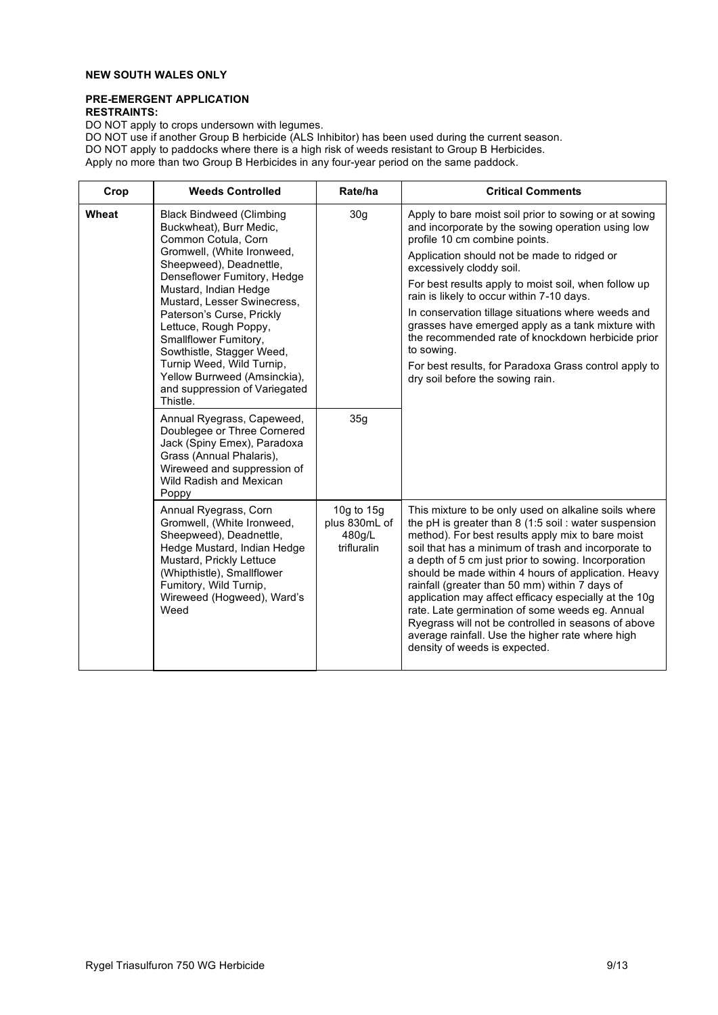# **NEW SOUTH WALES ONLY**

# **PRE-EMERGENT APPLICATION RESTRAINTS:**

DO NOT apply to crops undersown with legumes.

| Crop  | <b>Weeds Controlled</b>                                                                                                                                                                                                                                                                                                                                                                                                                                 | Rate/ha                                              | <b>Critical Comments</b>                                                                                                                                                                                                                                                                                                                                                                                                                                                                                                                                                                                                                            |
|-------|---------------------------------------------------------------------------------------------------------------------------------------------------------------------------------------------------------------------------------------------------------------------------------------------------------------------------------------------------------------------------------------------------------------------------------------------------------|------------------------------------------------------|-----------------------------------------------------------------------------------------------------------------------------------------------------------------------------------------------------------------------------------------------------------------------------------------------------------------------------------------------------------------------------------------------------------------------------------------------------------------------------------------------------------------------------------------------------------------------------------------------------------------------------------------------------|
| Wheat | <b>Black Bindweed (Climbing</b><br>Buckwheat), Burr Medic,<br>Common Cotula, Corn<br>Gromwell, (White Ironweed,<br>Sheepweed), Deadnettle,<br>Denseflower Fumitory, Hedge<br>Mustard, Indian Hedge<br>Mustard, Lesser Swinecress,<br>Paterson's Curse, Prickly<br>Lettuce, Rough Poppy,<br>Smallflower Fumitory,<br>Sowthistle, Stagger Weed,<br>Turnip Weed, Wild Turnip,<br>Yellow Burrweed (Amsinckia),<br>and suppression of Variegated<br>Thistle. | 30 <sub>g</sub>                                      | Apply to bare moist soil prior to sowing or at sowing<br>and incorporate by the sowing operation using low<br>profile 10 cm combine points.<br>Application should not be made to ridged or<br>excessively cloddy soil.<br>For best results apply to moist soil, when follow up<br>rain is likely to occur within 7-10 days.<br>In conservation tillage situations where weeds and<br>grasses have emerged apply as a tank mixture with<br>the recommended rate of knockdown herbicide prior<br>to sowing.<br>For best results, for Paradoxa Grass control apply to<br>dry soil before the sowing rain.                                              |
|       | Annual Ryegrass, Capeweed,<br>Doublegee or Three Cornered<br>Jack (Spiny Emex), Paradoxa<br>Grass (Annual Phalaris),<br>Wireweed and suppression of<br>Wild Radish and Mexican<br>Poppy                                                                                                                                                                                                                                                                 | 35g                                                  |                                                                                                                                                                                                                                                                                                                                                                                                                                                                                                                                                                                                                                                     |
|       | Annual Ryegrass, Corn<br>Gromwell, (White Ironweed,<br>Sheepweed), Deadnettle,<br>Hedge Mustard, Indian Hedge<br>Mustard, Prickly Lettuce<br>(Whipthistle), Smallflower<br>Fumitory, Wild Turnip,<br>Wireweed (Hogweed), Ward's<br>Weed                                                                                                                                                                                                                 | 10g to 15g<br>plus 830mL of<br>480g/L<br>trifluralin | This mixture to be only used on alkaline soils where<br>the pH is greater than $8$ (1:5 soil : water suspension<br>method). For best results apply mix to bare moist<br>soil that has a minimum of trash and incorporate to<br>a depth of 5 cm just prior to sowing. Incorporation<br>should be made within 4 hours of application. Heavy<br>rainfall (greater than 50 mm) within 7 days of<br>application may affect efficacy especially at the 10g<br>rate. Late germination of some weeds eg. Annual<br>Ryegrass will not be controlled in seasons of above<br>average rainfall. Use the higher rate where high<br>density of weeds is expected. |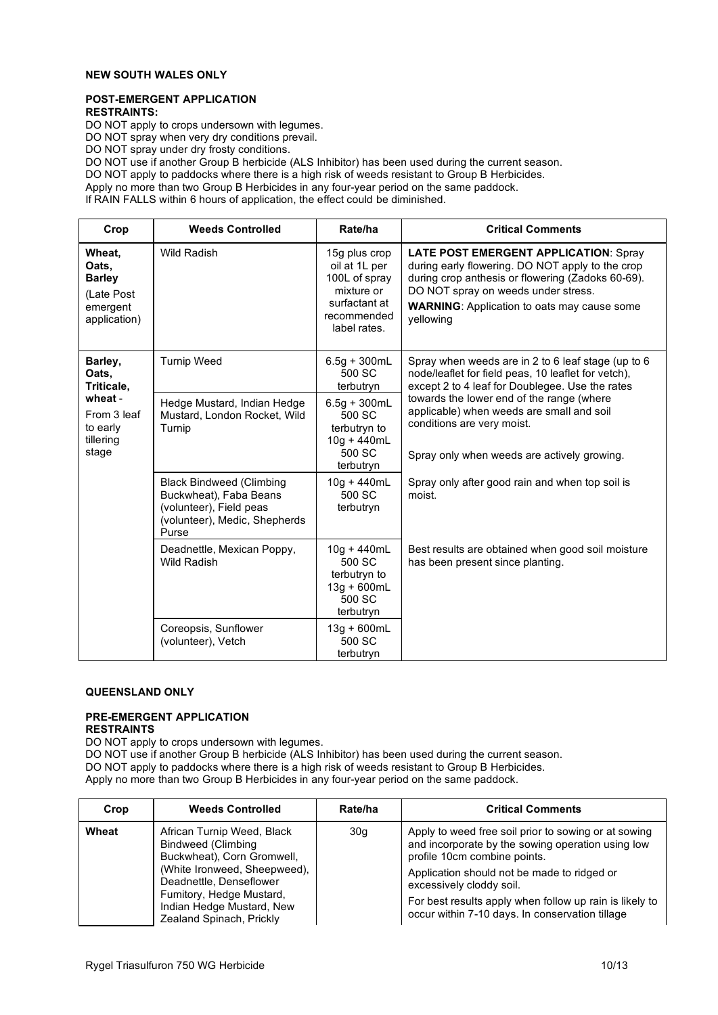# **NEW SOUTH WALES ONLY**

#### **POST-EMERGENT APPLICATION RESTRAINTS:**

DO NOT apply to crops undersown with legumes.

DO NOT spray when very dry conditions prevail.

DO NOT spray under dry frosty conditions.

DO NOT use if another Group B herbicide (ALS Inhibitor) has been used during the current season.

DO NOT apply to paddocks where there is a high risk of weeds resistant to Group B Herbicides.

Apply no more than two Group B Herbicides in any four-year period on the same paddock.

If RAIN FALLS within 6 hours of application, the effect could be diminished.

| Crop                                                                       | <b>Weeds Controlled</b>                                                                                                        | Rate/ha                                                                                                       | <b>Critical Comments</b>                                                                                                                                                                                                                                        |
|----------------------------------------------------------------------------|--------------------------------------------------------------------------------------------------------------------------------|---------------------------------------------------------------------------------------------------------------|-----------------------------------------------------------------------------------------------------------------------------------------------------------------------------------------------------------------------------------------------------------------|
| Wheat,<br>Oats,<br><b>Barley</b><br>(Late Post<br>emergent<br>application) | <b>Wild Radish</b>                                                                                                             | 15g plus crop<br>oil at 1L per<br>100L of spray<br>mixture or<br>surfactant at<br>recommended<br>label rates. | <b>LATE POST EMERGENT APPLICATION: Spray</b><br>during early flowering. DO NOT apply to the crop<br>during crop anthesis or flowering (Zadoks 60-69).<br>DO NOT spray on weeds under stress.<br><b>WARNING:</b> Application to oats may cause some<br>yellowing |
| Barley,<br>Oats,<br>Triticale,                                             | <b>Turnip Weed</b>                                                                                                             | $6.5g + 300mL$<br>500 SC<br>terbutryn                                                                         | Spray when weeds are in 2 to 6 leaf stage (up to 6<br>node/leaflet for field peas, 10 leaflet for vetch),<br>except 2 to 4 leaf for Doublegee. Use the rates                                                                                                    |
| wheat -<br>From 3 leaf<br>to early<br>tillering<br>stage                   | Hedge Mustard, Indian Hedge<br>Mustard, London Rocket, Wild<br>Turnip                                                          | $6.5g + 300mL$<br>500 SC<br>terbutryn to<br>$10g + 440mL$<br>500 SC<br>terbutryn                              | towards the lower end of the range (where<br>applicable) when weeds are small and soil<br>conditions are very moist.<br>Spray only when weeds are actively growing.                                                                                             |
|                                                                            | <b>Black Bindweed (Climbing</b><br>Buckwheat), Faba Beans<br>(volunteer), Field peas<br>(volunteer), Medic, Shepherds<br>Purse | $10q + 440mL$<br>500 SC<br>terbutryn                                                                          | Spray only after good rain and when top soil is<br>moist.                                                                                                                                                                                                       |
|                                                                            | Deadnettle, Mexican Poppy,<br><b>Wild Radish</b>                                                                               | $10g + 440mL$<br>500 SC<br>terbutryn to<br>$13g + 600mL$<br>500 SC<br>terbutryn                               | Best results are obtained when good soil moisture<br>has been present since planting.                                                                                                                                                                           |
|                                                                            | Coreopsis, Sunflower<br>(volunteer), Vetch                                                                                     | $13g + 600mL$<br>500 SC<br>terbutryn                                                                          |                                                                                                                                                                                                                                                                 |

# **QUEENSLAND ONLY**

# **PRE-EMERGENT APPLICATION**

**RESTRAINTS**

DO NOT apply to crops undersown with legumes.

| Crop  | <b>Weeds Controlled</b>                                                                                                                                                                                                        | Rate/ha | <b>Critical Comments</b>                                                                                                                                                                                                                                                                                                           |
|-------|--------------------------------------------------------------------------------------------------------------------------------------------------------------------------------------------------------------------------------|---------|------------------------------------------------------------------------------------------------------------------------------------------------------------------------------------------------------------------------------------------------------------------------------------------------------------------------------------|
| Wheat | African Turnip Weed, Black<br>Bindweed (Climbing<br>Buckwheat), Corn Gromwell,<br>(White Ironweed, Sheepweed).<br>Deadnettle, Denseflower<br>Fumitory, Hedge Mustard,<br>Indian Hedge Mustard, New<br>Zealand Spinach, Prickly | 30q     | Apply to weed free soil prior to sowing or at sowing<br>and incorporate by the sowing operation using low<br>profile 10cm combine points.<br>Application should not be made to ridged or<br>excessively cloddy soil.<br>For best results apply when follow up rain is likely to<br>occur within 7-10 days. In conservation tillage |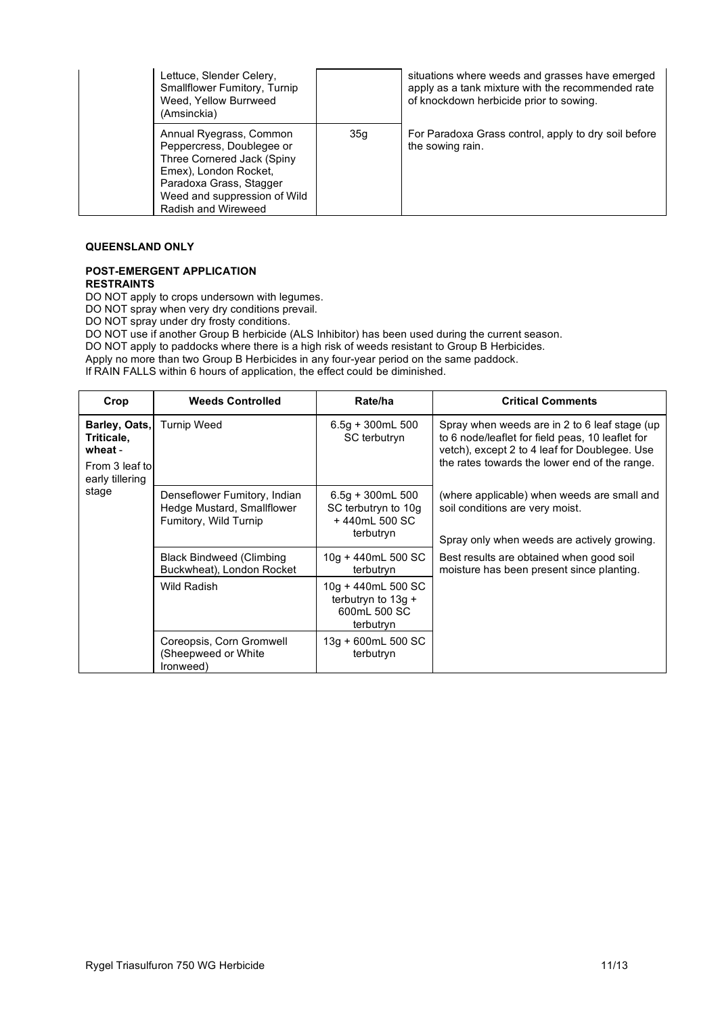| Lettuce, Slender Celery,<br><b>Smallflower Fumitory, Turnip</b><br>Weed, Yellow Burrweed<br>(Amsinckia)                                                                                       |     | situations where weeds and grasses have emerged<br>apply as a tank mixture with the recommended rate<br>of knockdown herbicide prior to sowing. |
|-----------------------------------------------------------------------------------------------------------------------------------------------------------------------------------------------|-----|-------------------------------------------------------------------------------------------------------------------------------------------------|
| Annual Ryegrass, Common<br>Peppercress, Doublegee or<br>Three Cornered Jack (Spiny<br>Emex), London Rocket,<br>Paradoxa Grass, Stagger<br>Weed and suppression of Wild<br>Radish and Wireweed | 35q | For Paradoxa Grass control, apply to dry soil before<br>the sowing rain.                                                                        |

# **QUEENSLAND ONLY**

#### **POST-EMERGENT APPLICATION RESTRAINTS**

DO NOT apply to crops undersown with legumes.

DO NOT spray when very dry conditions prevail.

DO NOT spray under dry frosty conditions.

DO NOT use if another Group B herbicide (ALS Inhibitor) has been used during the current season.

DO NOT apply to paddocks where there is a high risk of weeds resistant to Group B Herbicides.

Apply no more than two Group B Herbicides in any four-year period on the same paddock.

If RAIN FALLS within 6 hours of application, the effect could be diminished.

| Crop                                                                        | <b>Weeds Controlled</b>                                                                | Rate/ha                                                                 | <b>Critical Comments</b>                                                                                                                                                                            |
|-----------------------------------------------------------------------------|----------------------------------------------------------------------------------------|-------------------------------------------------------------------------|-----------------------------------------------------------------------------------------------------------------------------------------------------------------------------------------------------|
| Barley, Oats,<br>Triticale,<br>wheat -<br>From 3 leaf to<br>early tillering | <b>Turnip Weed</b>                                                                     | $6.5g + 300mL 500$<br>SC terbutryn                                      | Spray when weeds are in 2 to 6 leaf stage (up<br>to 6 node/leaflet for field peas, 10 leaflet for<br>vetch), except 2 to 4 leaf for Doublegee. Use<br>the rates towards the lower end of the range. |
| stage                                                                       | Denseflower Fumitory, Indian<br>Hedge Mustard, Smallflower<br>Fumitory, Wild Turnip    | $6.5g + 300mL 500$<br>SC terbutryn to 10g<br>+440mL 500 SC<br>terbutryn | (where applicable) when weeds are small and<br>soil conditions are very moist.<br>Spray only when weeds are actively growing.                                                                       |
|                                                                             | <b>Black Bindweed (Climbing</b><br>Buckwheat), London Rocket                           | $10g + 440mL$ 500 SC<br>terbutryn                                       | Best results are obtained when good soil<br>moisture has been present since planting.                                                                                                               |
|                                                                             | 10g + 440mL 500 SC<br>Wild Radish<br>terbutryn to $13q +$<br>600mL 500 SC<br>terbutryn |                                                                         |                                                                                                                                                                                                     |
|                                                                             | Coreopsis, Corn Gromwell<br>(Sheepweed or White<br>(ronweed)                           | 13g + 600mL 500 SC<br>terbutryn                                         |                                                                                                                                                                                                     |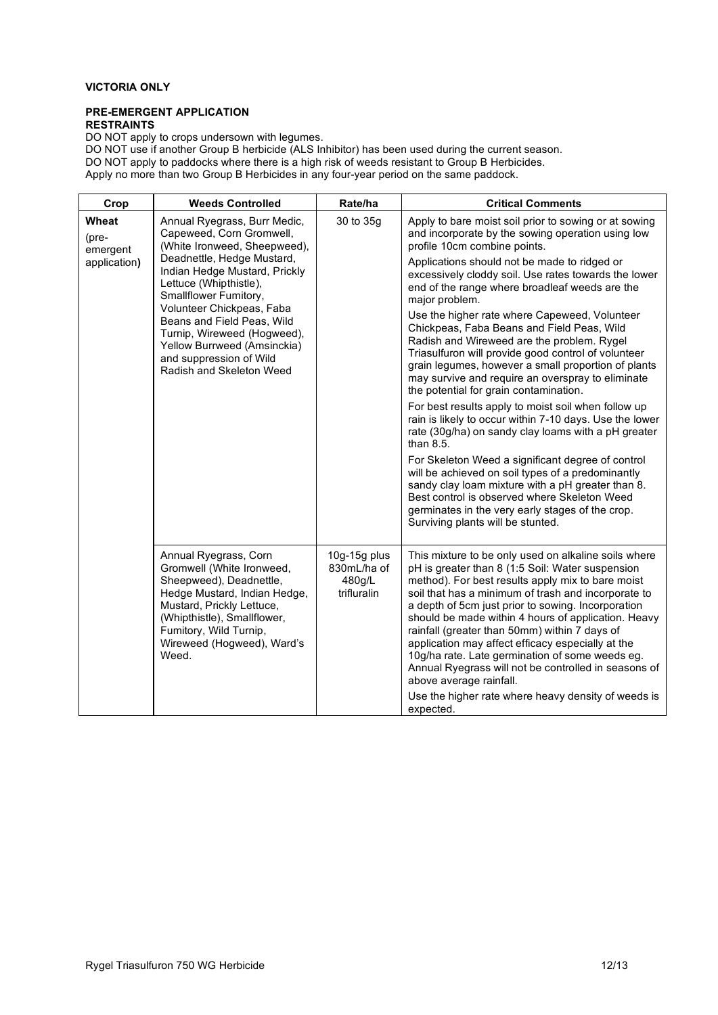# **VICTORIA ONLY**

#### **PRE-EMERGENT APPLICATION RESTRAINTS**

DO NOT apply to crops undersown with legumes.

| <b>Weeds Controlled</b>                                                                                                                                                                                                                    | Rate/ha                                                                                 | <b>Critical Comments</b>                                                                                                                                                                                                                                                                                                                                                                                                                                                                                                                                                                                                                          |
|--------------------------------------------------------------------------------------------------------------------------------------------------------------------------------------------------------------------------------------------|-----------------------------------------------------------------------------------------|---------------------------------------------------------------------------------------------------------------------------------------------------------------------------------------------------------------------------------------------------------------------------------------------------------------------------------------------------------------------------------------------------------------------------------------------------------------------------------------------------------------------------------------------------------------------------------------------------------------------------------------------------|
| Wheat<br>Annual Ryegrass, Burr Medic,<br>Capeweed, Corn Gromwell,<br>emergent                                                                                                                                                              | 30 to 35g                                                                               | Apply to bare moist soil prior to sowing or at sowing<br>and incorporate by the sowing operation using low<br>profile 10cm combine points.                                                                                                                                                                                                                                                                                                                                                                                                                                                                                                        |
| Indian Hedge Mustard, Prickly<br>Lettuce (Whipthistle),<br>Smallflower Fumitory,                                                                                                                                                           |                                                                                         | Applications should not be made to ridged or<br>excessively cloddy soil. Use rates towards the lower<br>end of the range where broadleaf weeds are the<br>major problem.                                                                                                                                                                                                                                                                                                                                                                                                                                                                          |
| Beans and Field Peas, Wild<br>Turnip, Wireweed (Hogweed),<br>Yellow Burrweed (Amsinckia)<br>and suppression of Wild<br>Radish and Skeleton Weed                                                                                            |                                                                                         | Use the higher rate where Capeweed, Volunteer<br>Chickpeas, Faba Beans and Field Peas, Wild<br>Radish and Wireweed are the problem. Rygel<br>Triasulfuron will provide good control of volunteer<br>grain legumes, however a small proportion of plants<br>may survive and require an overspray to eliminate<br>the potential for grain contamination.                                                                                                                                                                                                                                                                                            |
|                                                                                                                                                                                                                                            |                                                                                         | For best results apply to moist soil when follow up<br>rain is likely to occur within 7-10 days. Use the lower<br>rate (30g/ha) on sandy clay loams with a pH greater<br>than 8.5.                                                                                                                                                                                                                                                                                                                                                                                                                                                                |
|                                                                                                                                                                                                                                            |                                                                                         | For Skeleton Weed a significant degree of control<br>will be achieved on soil types of a predominantly<br>sandy clay loam mixture with a pH greater than 8.<br>Best control is observed where Skeleton Weed<br>germinates in the very early stages of the crop.<br>Surviving plants will be stunted.                                                                                                                                                                                                                                                                                                                                              |
| Annual Ryegrass, Corn<br>Gromwell (White Ironweed,<br>Sheepweed), Deadnettle,<br>Hedge Mustard, Indian Hedge,<br>Mustard, Prickly Lettuce,<br>(Whipthistle), Smallflower,<br>Fumitory, Wild Turnip,<br>Wireweed (Hogweed), Ward's<br>Weed. | 10g-15g plus<br>830mL/ha of<br>480g/L<br>trifluralin                                    | This mixture to be only used on alkaline soils where<br>pH is greater than 8 (1:5 Soil: Water suspension<br>method). For best results apply mix to bare moist<br>soil that has a minimum of trash and incorporate to<br>a depth of 5cm just prior to sowing. Incorporation<br>should be made within 4 hours of application. Heavy<br>rainfall (greater than 50mm) within 7 days of<br>application may affect efficacy especially at the<br>10g/ha rate. Late germination of some weeds eg.<br>Annual Ryegrass will not be controlled in seasons of<br>above average rainfall.<br>Use the higher rate where heavy density of weeds is<br>expected. |
|                                                                                                                                                                                                                                            | (White Ironweed, Sheepweed),<br>Deadnettle, Hedge Mustard,<br>Volunteer Chickpeas, Faba |                                                                                                                                                                                                                                                                                                                                                                                                                                                                                                                                                                                                                                                   |